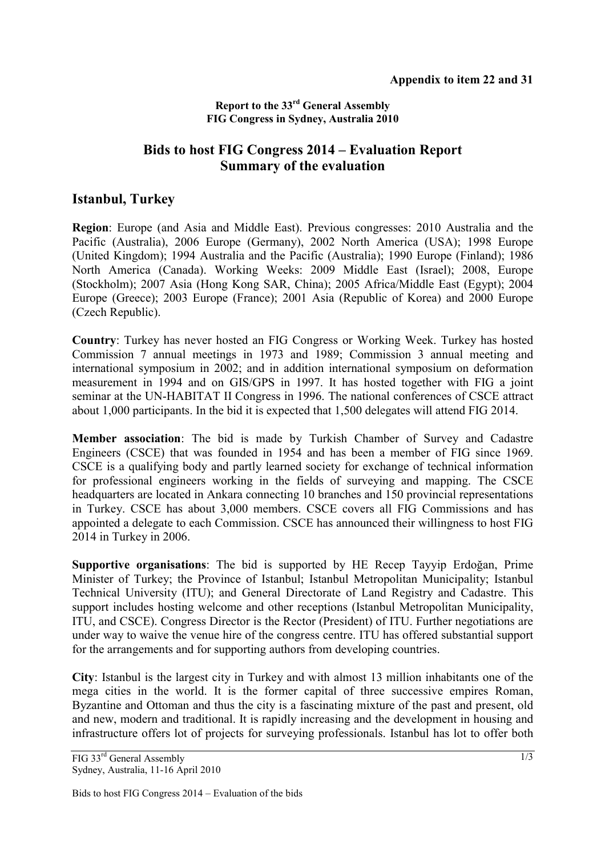## **Report to the 33rd General Assembly FIG Congress in Sydney, Australia 2010**

## **Bids to host FIG Congress 2014 – Evaluation Report Summary of the evaluation**

## **Istanbul, Turkey**

**Region**: Europe (and Asia and Middle East). Previous congresses: 2010 Australia and the Pacific (Australia), 2006 Europe (Germany), 2002 North America (USA); 1998 Europe (United Kingdom); 1994 Australia and the Pacific (Australia); 1990 Europe (Finland); 1986 North America (Canada). Working Weeks: 2009 Middle East (Israel); 2008, Europe (Stockholm); 2007 Asia (Hong Kong SAR, China); 2005 Africa/Middle East (Egypt); 2004 Europe (Greece); 2003 Europe (France); 2001 Asia (Republic of Korea) and 2000 Europe (Czech Republic).

**Country**: Turkey has never hosted an FIG Congress or Working Week. Turkey has hosted Commission 7 annual meetings in 1973 and 1989; Commission 3 annual meeting and international symposium in 2002; and in addition international symposium on deformation measurement in 1994 and on GIS/GPS in 1997. It has hosted together with FIG a joint seminar at the UN-HABITAT II Congress in 1996. The national conferences of CSCE attract about 1,000 participants. In the bid it is expected that 1,500 delegates will attend FIG 2014.

**Member association**: The bid is made by Turkish Chamber of Survey and Cadastre Engineers (CSCE) that was founded in 1954 and has been a member of FIG since 1969. CSCE is a qualifying body and partly learned society for exchange of technical information for professional engineers working in the fields of surveying and mapping. The CSCE headquarters are located in Ankara connecting 10 branches and 150 provincial representations in Turkey. CSCE has about 3,000 members. CSCE covers all FIG Commissions and has appointed a delegate to each Commission. CSCE has announced their willingness to host FIG 2014 in Turkey in 2006.

**Supportive organisations**: The bid is supported by HE Recep Tayyip Erdoğan, Prime Minister of Turkey; the Province of Istanbul; Istanbul Metropolitan Municipality; Istanbul Technical University (ITU); and General Directorate of Land Registry and Cadastre. This support includes hosting welcome and other receptions (Istanbul Metropolitan Municipality, ITU, and CSCE). Congress Director is the Rector (President) of ITU. Further negotiations are under way to waive the venue hire of the congress centre. ITU has offered substantial support for the arrangements and for supporting authors from developing countries.

**City**: Istanbul is the largest city in Turkey and with almost 13 million inhabitants one of the mega cities in the world. It is the former capital of three successive empires Roman, Byzantine and Ottoman and thus the city is a fascinating mixture of the past and present, old and new, modern and traditional. It is rapidly increasing and the development in housing and infrastructure offers lot of projects for surveying professionals. Istanbul has lot to offer both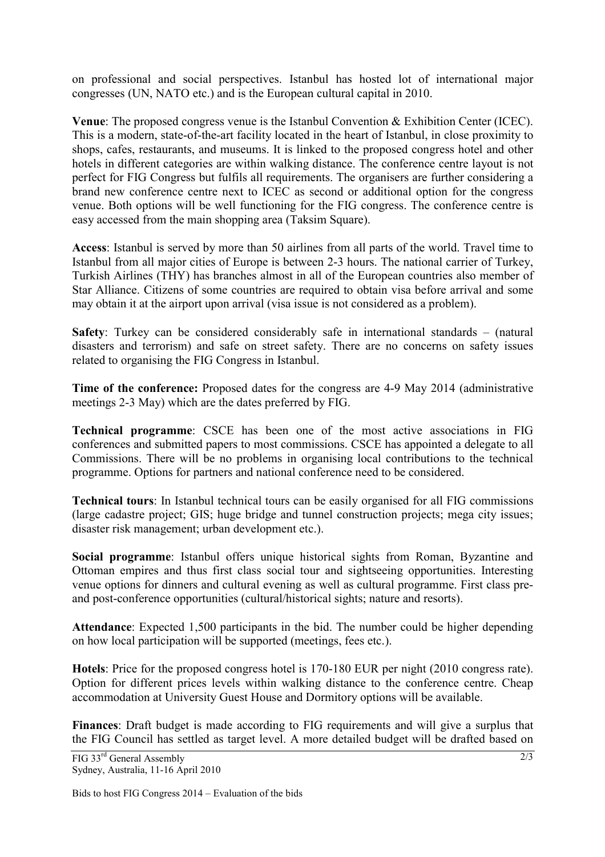on professional and social perspectives. Istanbul has hosted lot of international major congresses (UN, NATO etc.) and is the European cultural capital in 2010.

**Venue**: The proposed congress venue is the Istanbul Convention & Exhibition Center (ICEC). This is a modern, state-of-the-art facility located in the heart of Istanbul, in close proximity to shops, cafes, restaurants, and museums. It is linked to the proposed congress hotel and other hotels in different categories are within walking distance. The conference centre layout is not perfect for FIG Congress but fulfils all requirements. The organisers are further considering a brand new conference centre next to ICEC as second or additional option for the congress venue. Both options will be well functioning for the FIG congress. The conference centre is easy accessed from the main shopping area (Taksim Square).

**Access**: Istanbul is served by more than 50 airlines from all parts of the world. Travel time to Istanbul from all major cities of Europe is between 2-3 hours. The national carrier of Turkey, Turkish Airlines (THY) has branches almost in all of the European countries also member of Star Alliance. Citizens of some countries are required to obtain visa before arrival and some may obtain it at the airport upon arrival (visa issue is not considered as a problem).

**Safety**: Turkey can be considered considerably safe in international standards – (natural disasters and terrorism) and safe on street safety. There are no concerns on safety issues related to organising the FIG Congress in Istanbul.

**Time of the conference:** Proposed dates for the congress are 4-9 May 2014 (administrative meetings 2-3 May) which are the dates preferred by FIG.

**Technical programme**: CSCE has been one of the most active associations in FIG conferences and submitted papers to most commissions. CSCE has appointed a delegate to all Commissions. There will be no problems in organising local contributions to the technical programme. Options for partners and national conference need to be considered.

**Technical tours**: In Istanbul technical tours can be easily organised for all FIG commissions (large cadastre project; GIS; huge bridge and tunnel construction projects; mega city issues; disaster risk management; urban development etc.).

**Social programme**: Istanbul offers unique historical sights from Roman, Byzantine and Ottoman empires and thus first class social tour and sightseeing opportunities. Interesting venue options for dinners and cultural evening as well as cultural programme. First class preand post-conference opportunities (cultural/historical sights; nature and resorts).

**Attendance**: Expected 1,500 participants in the bid. The number could be higher depending on how local participation will be supported (meetings, fees etc.).

**Hotels**: Price for the proposed congress hotel is 170-180 EUR per night (2010 congress rate). Option for different prices levels within walking distance to the conference centre. Cheap accommodation at University Guest House and Dormitory options will be available.

**Finances**: Draft budget is made according to FIG requirements and will give a surplus that the FIG Council has settled as target level. A more detailed budget will be drafted based on